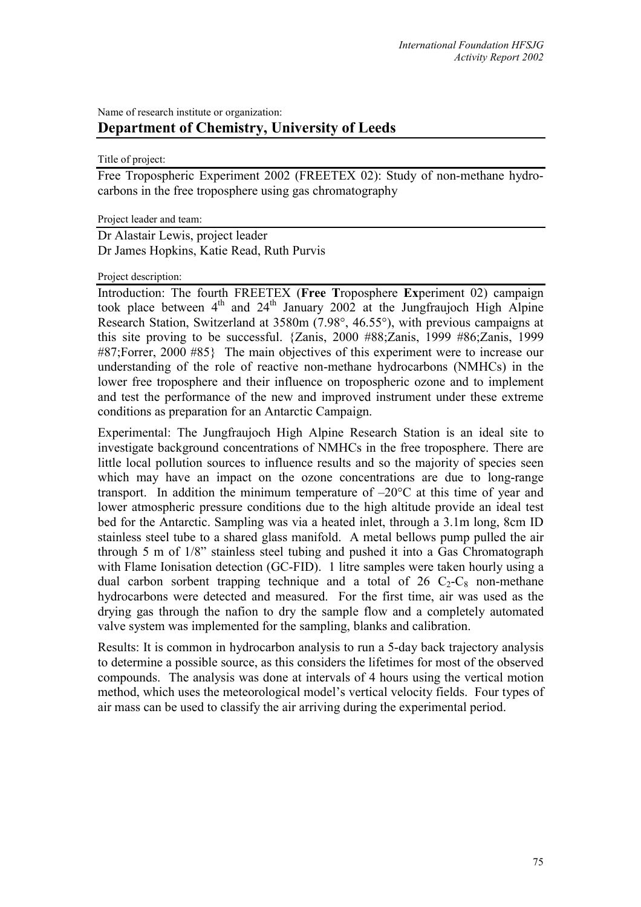## Name of research institute or organization: **Department of Chemistry, University of Leeds**

Title of project:

Free Tropospheric Experiment 2002 (FREETEX 02): Study of non-methane hydrocarbons in the free troposphere using gas chromatography

Project leader and team:

Dr Alastair Lewis, project leader Dr James Hopkins, Katie Read, Ruth Purvis

Project description:

Introduction: The fourth FREETEX (**Free T**roposphere **Ex**periment 02) campaign took place between  $4<sup>th</sup>$  and  $24<sup>th</sup>$  January 2002 at the Jungfraujoch High Alpine Research Station, Switzerland at 3580m (7.98°, 46.55°), with previous campaigns at this site proving to be successful. {Zanis, 2000 #88;Zanis, 1999 #86;Zanis, 1999 #87;Forrer, 2000 #85} The main objectives of this experiment were to increase our understanding of the role of reactive non-methane hydrocarbons (NMHCs) in the lower free troposphere and their influence on tropospheric ozone and to implement and test the performance of the new and improved instrument under these extreme conditions as preparation for an Antarctic Campaign.

Experimental: The Jungfraujoch High Alpine Research Station is an ideal site to investigate background concentrations of NMHCs in the free troposphere. There are little local pollution sources to influence results and so the majority of species seen which may have an impact on the ozone concentrations are due to long-range transport. In addition the minimum temperature of  $-20^{\circ}$ C at this time of year and lower atmospheric pressure conditions due to the high altitude provide an ideal test bed for the Antarctic. Sampling was via a heated inlet, through a 3.1m long, 8cm ID stainless steel tube to a shared glass manifold. A metal bellows pump pulled the air through 5 m of 1/8" stainless steel tubing and pushed it into a Gas Chromatograph with Flame Ionisation detection (GC-FID). 1 litre samples were taken hourly using a dual carbon sorbent trapping technique and a total of  $26 \text{ C}_2\text{-C}_8$  non-methane hydrocarbons were detected and measured. For the first time, air was used as the drying gas through the nafion to dry the sample flow and a completely automated valve system was implemented for the sampling, blanks and calibration.

Results: It is common in hydrocarbon analysis to run a 5-day back trajectory analysis to determine a possible source, as this considers the lifetimes for most of the observed compounds. The analysis was done at intervals of 4 hours using the vertical motion method, which uses the meteorological model's vertical velocity fields. Four types of air mass can be used to classify the air arriving during the experimental period.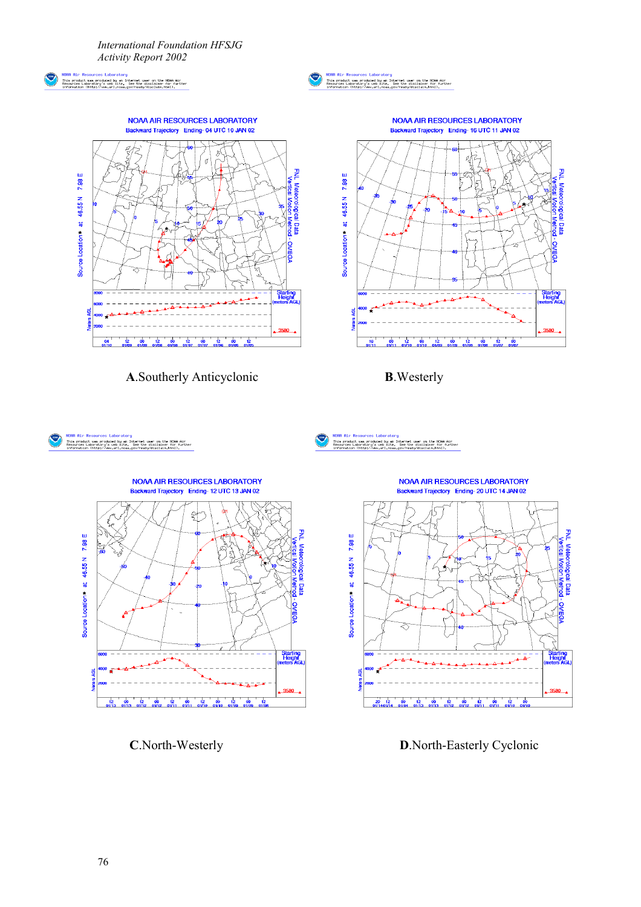*International Foundation HFSJG Activity Report 2002*

.<br>188 Air Re nonn nam incoround our cluster and internet user on the NOAA Air<br>Resources Laboratory's web site. See the disclaimer for further<br>information (http://www.arl.noaa.gov/ready/disclaim.html).



.<br>NOAA Air Resources Lab non nat necoust was produced by an Internet user on the NOAA Air<br>Resources Laboratory's web site. See the disclaimer for furthe<br>information (http://www.arl.noaa.gov/ready/disclaim.html).



**C**.North-Westerly **D**.North-Easterly Cyclonic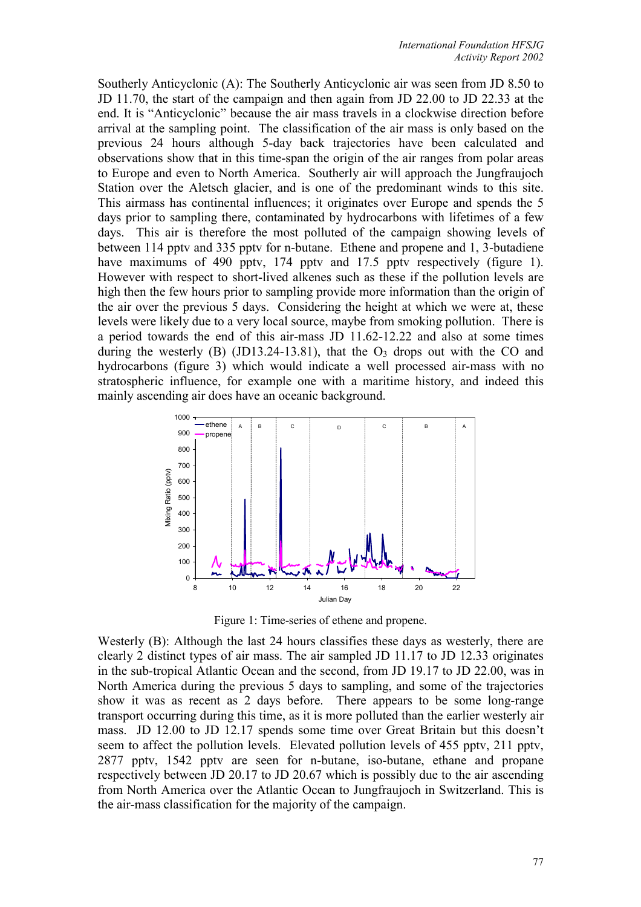Southerly Anticyclonic (A): The Southerly Anticyclonic air was seen from JD 8.50 to JD 11.70, the start of the campaign and then again from JD 22.00 to JD 22.33 at the end. It is "Anticyclonic" because the air mass travels in a clockwise direction before arrival at the sampling point. The classification of the air mass is only based on the previous 24 hours although 5-day back trajectories have been calculated and observations show that in this time-span the origin of the air ranges from polar areas to Europe and even to North America. Southerly air will approach the Jungfraujoch Station over the Aletsch glacier, and is one of the predominant winds to this site. This airmass has continental influences; it originates over Europe and spends the 5 days prior to sampling there, contaminated by hydrocarbons with lifetimes of a few days. This air is therefore the most polluted of the campaign showing levels of between 114 pptv and 335 pptv for n-butane. Ethene and propene and 1, 3-butadiene have maximums of 490 pptv, 174 pptv and 17.5 pptv respectively (figure 1). However with respect to short-lived alkenes such as these if the pollution levels are high then the few hours prior to sampling provide more information than the origin of the air over the previous 5 days. Considering the height at which we were at, these levels were likely due to a very local source, maybe from smoking pollution. There is a period towards the end of this air-mass JD 11.62-12.22 and also at some times during the westerly  $(B)$  (JD13.24-13.81), that the  $O<sub>3</sub>$  drops out with the CO and hydrocarbons (figure 3) which would indicate a well processed air-mass with no stratospheric influence, for example one with a maritime history, and indeed this mainly ascending air does have an oceanic background.



Figure 1: Time-series of ethene and propene.

Westerly (B): Although the last 24 hours classifies these days as westerly, there are clearly 2 distinct types of air mass. The air sampled JD 11.17 to JD 12.33 originates in the sub-tropical Atlantic Ocean and the second, from JD 19.17 to JD 22.00, was in North America during the previous 5 days to sampling, and some of the trajectories show it was as recent as 2 days before. There appears to be some long-range transport occurring during this time, as it is more polluted than the earlier westerly air mass. JD 12.00 to JD 12.17 spends some time over Great Britain but this doesn't seem to affect the pollution levels. Elevated pollution levels of 455 pptv, 211 pptv, 2877 pptv, 1542 pptv are seen for n-butane, iso-butane, ethane and propane respectively between JD 20.17 to JD 20.67 which is possibly due to the air ascending from North America over the Atlantic Ocean to Jungfraujoch in Switzerland. This is the air-mass classification for the majority of the campaign.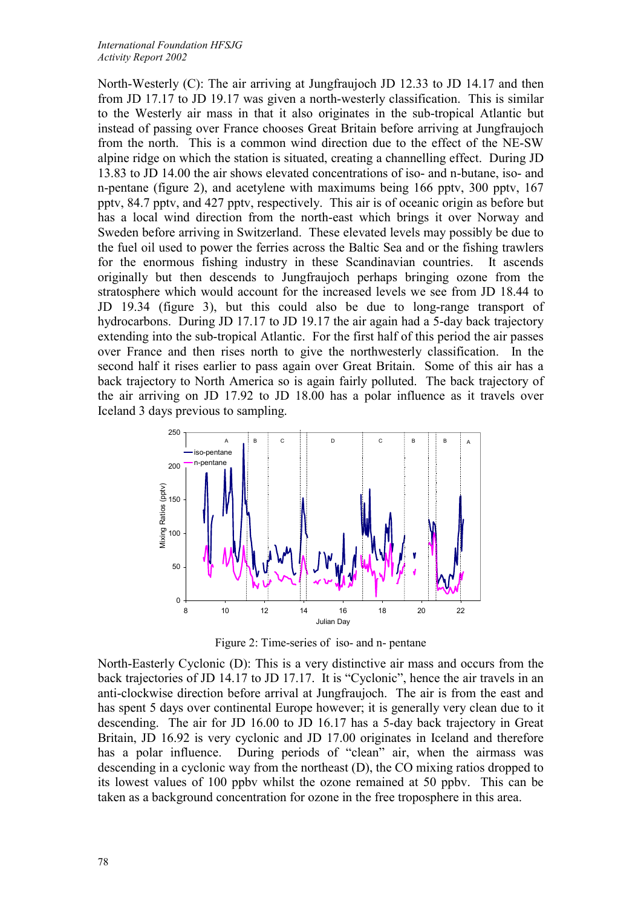North-Westerly (C): The air arriving at Jungfraujoch JD 12.33 to JD 14.17 and then from JD 17.17 to JD 19.17 was given a north-westerly classification. This is similar to the Westerly air mass in that it also originates in the sub-tropical Atlantic but instead of passing over France chooses Great Britain before arriving at Jungfraujoch from the north. This is a common wind direction due to the effect of the NE-SW alpine ridge on which the station is situated, creating a channelling effect. During JD 13.83 to JD 14.00 the air shows elevated concentrations of iso- and n-butane, iso- and n-pentane (figure 2), and acetylene with maximums being 166 pptv, 300 pptv, 167 pptv, 84.7 pptv, and 427 pptv, respectively. This air is of oceanic origin as before but has a local wind direction from the north-east which brings it over Norway and Sweden before arriving in Switzerland. These elevated levels may possibly be due to the fuel oil used to power the ferries across the Baltic Sea and or the fishing trawlers for the enormous fishing industry in these Scandinavian countries. It ascends originally but then descends to Jungfraujoch perhaps bringing ozone from the stratosphere which would account for the increased levels we see from JD 18.44 to JD 19.34 (figure 3), but this could also be due to long-range transport of hydrocarbons. During JD 17.17 to JD 19.17 the air again had a 5-day back trajectory extending into the sub-tropical Atlantic. For the first half of this period the air passes over France and then rises north to give the northwesterly classification. In the second half it rises earlier to pass again over Great Britain. Some of this air has a back trajectory to North America so is again fairly polluted. The back trajectory of the air arriving on JD 17.92 to JD 18.00 has a polar influence as it travels over Iceland 3 days previous to sampling.



Figure 2: Time-series of iso- and n- pentane

North-Easterly Cyclonic (D): This is a very distinctive air mass and occurs from the back trajectories of JD 14.17 to JD 17.17. It is "Cyclonic", hence the air travels in an anti-clockwise direction before arrival at Jungfraujoch. The air is from the east and has spent 5 days over continental Europe however; it is generally very clean due to it descending. The air for JD 16.00 to JD 16.17 has a 5-day back trajectory in Great Britain, JD 16.92 is very cyclonic and JD 17.00 originates in Iceland and therefore has a polar influence. During periods of "clean" air, when the airmass was descending in a cyclonic way from the northeast (D), the CO mixing ratios dropped to its lowest values of 100 ppbv whilst the ozone remained at 50 ppbv. This can be taken as a background concentration for ozone in the free troposphere in this area.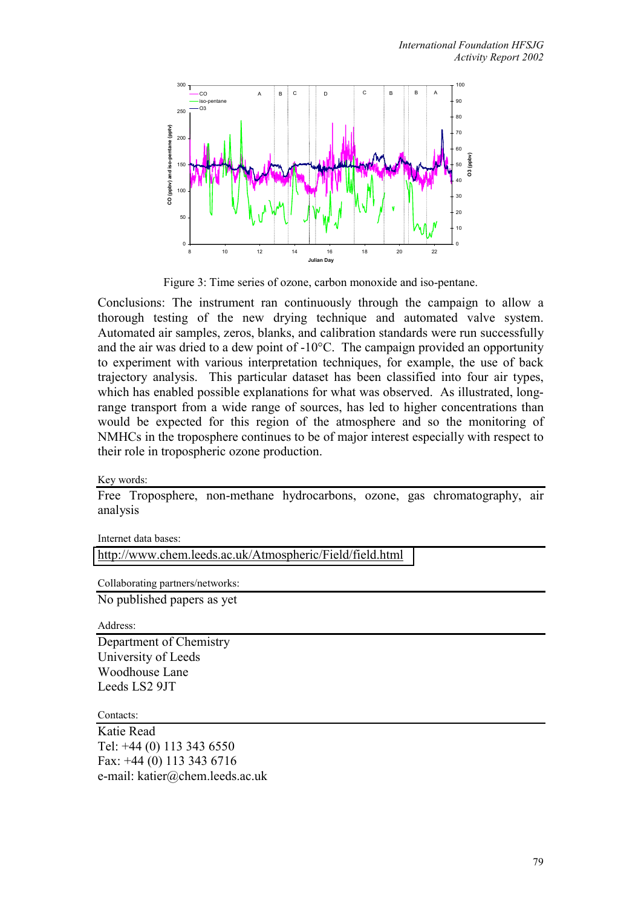

Figure 3: Time series of ozone, carbon monoxide and iso-pentane.

Conclusions: The instrument ran continuously through the campaign to allow a thorough testing of the new drying technique and automated valve system. Automated air samples, zeros, blanks, and calibration standards were run successfully and the air was dried to a dew point of -10°C. The campaign provided an opportunity to experiment with various interpretation techniques, for example, the use of back trajectory analysis. This particular dataset has been classified into four air types, which has enabled possible explanations for what was observed. As illustrated, longrange transport from a wide range of sources, has led to higher concentrations than would be expected for this region of the atmosphere and so the monitoring of NMHCs in the troposphere continues to be of major interest especially with respect to their role in tropospheric ozone production.

Key words:

Free Troposphere, non-methane hydrocarbons, ozone, gas chromatography, air analysis

Internet data bases:

<http://www.chem.leeds.ac.uk/Atmospheric/Field/field.html>

Collaborating partners/networks:

No published papers as yet

Address:

Department of Chemistry University of Leeds Woodhouse Lane Leeds LS2 9JT

Contacts:

Katie Read Tel: +44 (0) 113 343 6550 Fax: +44 (0) 113 343 6716 e-mail: katier@chem.leeds.ac.uk